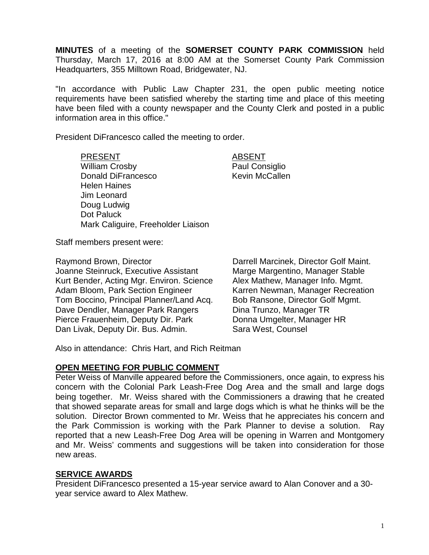**MINUTES** of a meeting of the **SOMERSET COUNTY PARK COMMISSION** held Thursday, March 17, 2016 at 8:00 AM at the Somerset County Park Commission Headquarters, 355 Milltown Road, Bridgewater, NJ.

"In accordance with Public Law Chapter 231, the open public meeting notice requirements have been satisfied whereby the starting time and place of this meeting have been filed with a county newspaper and the County Clerk and posted in a public information area in this office."

President DiFrancesco called the meeting to order.

PRESENT ABSENT William Crosby **Paul Consiglio** Donald DiFrancesco Kevin McCallen Helen Haines Jim Leonard Doug Ludwig Dot Paluck Mark Caliguire, Freeholder Liaison

Staff members present were:

Raymond Brown, Director Joanne Steinruck, Executive Assistant Kurt Bender, Acting Mgr. Environ. Science Adam Bloom, Park Section Engineer Tom Boccino, Principal Planner/Land Acq. Dave Dendler, Manager Park Rangers Pierce Frauenheim, Deputy Dir. Park Dan Livak, Deputy Dir. Bus. Admin.

Darrell Marcinek, Director Golf Maint. Marge Margentino, Manager Stable Alex Mathew, Manager Info. Mgmt. Karren Newman, Manager Recreation Bob Ransone, Director Golf Mgmt. Dina Trunzo, Manager TR Donna Umgelter, Manager HR Sara West, Counsel

Also in attendance: Chris Hart, and Rich Reitman

### **OPEN MEETING FOR PUBLIC COMMENT**

Peter Weiss of Manville appeared before the Commissioners, once again, to express his concern with the Colonial Park Leash-Free Dog Area and the small and large dogs being together. Mr. Weiss shared with the Commissioners a drawing that he created that showed separate areas for small and large dogs which is what he thinks will be the solution. Director Brown commented to Mr. Weiss that he appreciates his concern and the Park Commission is working with the Park Planner to devise a solution. Ray reported that a new Leash-Free Dog Area will be opening in Warren and Montgomery and Mr. Weiss' comments and suggestions will be taken into consideration for those new areas.

### **SERVICE AWARDS**

President DiFrancesco presented a 15-year service award to Alan Conover and a 30 year service award to Alex Mathew.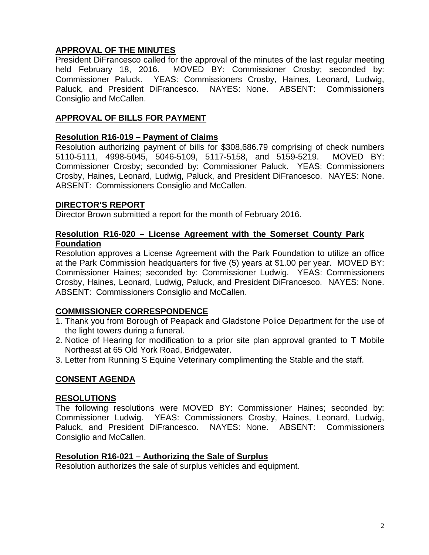# **APPROVAL OF THE MINUTES**

President DiFrancesco called for the approval of the minutes of the last regular meeting held February 18, 2016. MOVED BY: Commissioner Crosby; seconded by: Commissioner Paluck. YEAS: Commissioners Crosby, Haines, Leonard, Ludwig, Paluck, and President DiFrancesco. NAYES: None. ABSENT: Commissioners Consiglio and McCallen.

# **APPROVAL OF BILLS FOR PAYMENT**

## **Resolution R16-019 – Payment of Claims**

Resolution authorizing payment of bills for \$308,686.79 comprising of check numbers 5110-5111, 4998-5045, 5046-5109, 5117-5158, and 5159-5219. MOVED BY: Commissioner Crosby; seconded by: Commissioner Paluck. YEAS: Commissioners Crosby, Haines, Leonard, Ludwig, Paluck, and President DiFrancesco. NAYES: None. ABSENT: Commissioners Consiglio and McCallen.

# **DIRECTOR'S REPORT**

Director Brown submitted a report for the month of February 2016.

# **Resolution R16-020 – License Agreement with the Somerset County Park Foundation**

Resolution approves a License Agreement with the Park Foundation to utilize an office at the Park Commission headquarters for five (5) years at \$1.00 per year. MOVED BY: Commissioner Haines; seconded by: Commissioner Ludwig. YEAS: Commissioners Crosby, Haines, Leonard, Ludwig, Paluck, and President DiFrancesco. NAYES: None. ABSENT: Commissioners Consiglio and McCallen.

# **COMMISSIONER CORRESPONDENCE**

- 1. Thank you from Borough of Peapack and Gladstone Police Department for the use of the light towers during a funeral.
- 2. Notice of Hearing for modification to a prior site plan approval granted to T Mobile Northeast at 65 Old York Road, Bridgewater.
- 3. Letter from Running S Equine Veterinary complimenting the Stable and the staff.

# **CONSENT AGENDA**

### **RESOLUTIONS**

The following resolutions were MOVED BY: Commissioner Haines; seconded by: Commissioner Ludwig. YEAS: Commissioners Crosby, Haines, Leonard, Ludwig, Paluck, and President DiFrancesco. NAYES: None. ABSENT: Commissioners Consiglio and McCallen.

### **Resolution R16-021 – Authorizing the Sale of Surplus**

Resolution authorizes the sale of surplus vehicles and equipment.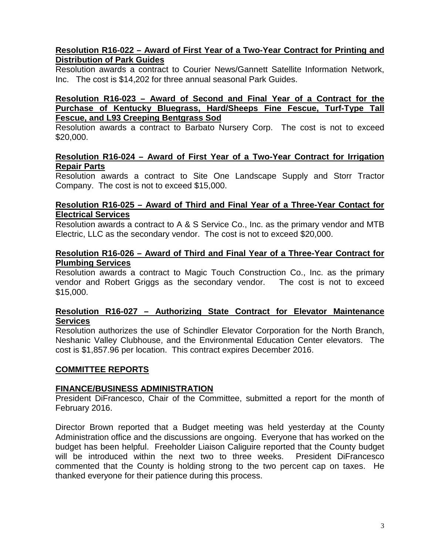# **Resolution R16-022 – Award of First Year of a Two-Year Contract for Printing and Distribution of Park Guides**

Resolution awards a contract to Courier News/Gannett Satellite Information Network, Inc. The cost is \$14,202 for three annual seasonal Park Guides.

#### **Resolution R16-023 – Award of Second and Final Year of a Contract for the Purchase of Kentucky Bluegrass, Hard/Sheeps Fine Fescue, Turf-Type Tall Fescue, and L93 Creeping Bentgrass Sod**

Resolution awards a contract to Barbato Nursery Corp. The cost is not to exceed \$20,000.

#### **Resolution R16-024 – Award of First Year of a Two-Year Contract for Irrigation Repair Parts**

Resolution awards a contract to Site One Landscape Supply and Storr Tractor Company. The cost is not to exceed \$15,000.

#### **Resolution R16-025 – Award of Third and Final Year of a Three-Year Contact for Electrical Services**

Resolution awards a contract to A & S Service Co., Inc. as the primary vendor and MTB Electric, LLC as the secondary vendor. The cost is not to exceed \$20,000.

#### **Resolution R16-026 – Award of Third and Final Year of a Three-Year Contract for Plumbing Services**

Resolution awards a contract to Magic Touch Construction Co., Inc. as the primary vendor and Robert Griggs as the secondary vendor. The cost is not to exceed \$15,000.

#### **Resolution R16-027 – Authorizing State Contract for Elevator Maintenance Services**

Resolution authorizes the use of Schindler Elevator Corporation for the North Branch, Neshanic Valley Clubhouse, and the Environmental Education Center elevators. The cost is \$1,857.96 per location. This contract expires December 2016.

### **COMMITTEE REPORTS**

### **FINANCE/BUSINESS ADMINISTRATION**

President DiFrancesco, Chair of the Committee, submitted a report for the month of February 2016.

Director Brown reported that a Budget meeting was held yesterday at the County Administration office and the discussions are ongoing. Everyone that has worked on the budget has been helpful. Freeholder Liaison Caliguire reported that the County budget will be introduced within the next two to three weeks. President DiFrancesco commented that the County is holding strong to the two percent cap on taxes. He thanked everyone for their patience during this process.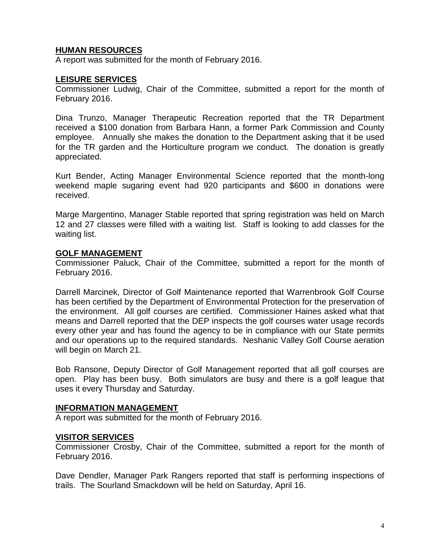# **HUMAN RESOURCES**

A report was submitted for the month of February 2016.

#### **LEISURE SERVICES**

Commissioner Ludwig, Chair of the Committee, submitted a report for the month of February 2016.

Dina Trunzo, Manager Therapeutic Recreation reported that the TR Department received a \$100 donation from Barbara Hann, a former Park Commission and County employee. Annually she makes the donation to the Department asking that it be used for the TR garden and the Horticulture program we conduct. The donation is greatly appreciated.

Kurt Bender, Acting Manager Environmental Science reported that the month-long weekend maple sugaring event had 920 participants and \$600 in donations were received.

Marge Margentino, Manager Stable reported that spring registration was held on March 12 and 27 classes were filled with a waiting list. Staff is looking to add classes for the waiting list.

#### **GOLF MANAGEMENT**

Commissioner Paluck, Chair of the Committee, submitted a report for the month of February 2016.

Darrell Marcinek, Director of Golf Maintenance reported that Warrenbrook Golf Course has been certified by the Department of Environmental Protection for the preservation of the environment. All golf courses are certified. Commissioner Haines asked what that means and Darrell reported that the DEP inspects the golf courses water usage records every other year and has found the agency to be in compliance with our State permits and our operations up to the required standards. Neshanic Valley Golf Course aeration will begin on March 21.

Bob Ransone, Deputy Director of Golf Management reported that all golf courses are open. Play has been busy. Both simulators are busy and there is a golf league that uses it every Thursday and Saturday.

#### **INFORMATION MANAGEMENT**

A report was submitted for the month of February 2016.

#### **VISITOR SERVICES**

Commissioner Crosby, Chair of the Committee, submitted a report for the month of February 2016.

Dave Dendler, Manager Park Rangers reported that staff is performing inspections of trails. The Sourland Smackdown will be held on Saturday, April 16.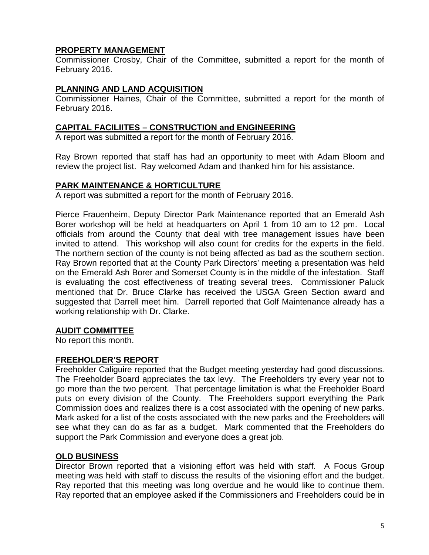## **PROPERTY MANAGEMENT**

Commissioner Crosby, Chair of the Committee, submitted a report for the month of February 2016.

# **PLANNING AND LAND ACQUISITION**

Commissioner Haines, Chair of the Committee, submitted a report for the month of February 2016.

## **CAPITAL FACILIITES – CONSTRUCTION and ENGINEERING**

A report was submitted a report for the month of February 2016.

Ray Brown reported that staff has had an opportunity to meet with Adam Bloom and review the project list. Ray welcomed Adam and thanked him for his assistance.

### **PARK MAINTENANCE & HORTICULTURE**

A report was submitted a report for the month of February 2016.

Pierce Frauenheim, Deputy Director Park Maintenance reported that an Emerald Ash Borer workshop will be held at headquarters on April 1 from 10 am to 12 pm. Local officials from around the County that deal with tree management issues have been invited to attend. This workshop will also count for credits for the experts in the field. The northern section of the county is not being affected as bad as the southern section. Ray Brown reported that at the County Park Directors' meeting a presentation was held on the Emerald Ash Borer and Somerset County is in the middle of the infestation. Staff is evaluating the cost effectiveness of treating several trees. Commissioner Paluck mentioned that Dr. Bruce Clarke has received the USGA Green Section award and suggested that Darrell meet him. Darrell reported that Golf Maintenance already has a working relationship with Dr. Clarke.

# **AUDIT COMMITTEE**

No report this month.

### **FREEHOLDER'S REPORT**

Freeholder Caliguire reported that the Budget meeting yesterday had good discussions. The Freeholder Board appreciates the tax levy. The Freeholders try every year not to go more than the two percent. That percentage limitation is what the Freeholder Board puts on every division of the County. The Freeholders support everything the Park Commission does and realizes there is a cost associated with the opening of new parks. Mark asked for a list of the costs associated with the new parks and the Freeholders will see what they can do as far as a budget. Mark commented that the Freeholders do support the Park Commission and everyone does a great job.

# **OLD BUSINESS**

Director Brown reported that a visioning effort was held with staff. A Focus Group meeting was held with staff to discuss the results of the visioning effort and the budget. Ray reported that this meeting was long overdue and he would like to continue them. Ray reported that an employee asked if the Commissioners and Freeholders could be in